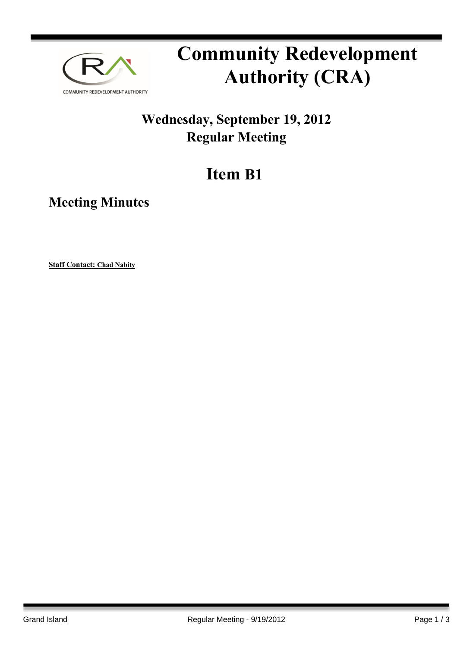

# **Community Redevelopment Authority (CRA)**

### **Wednesday, September 19, 2012 Regular Meeting**

## **Item B1**

**Meeting Minutes**

**Staff Contact: Chad Nabity**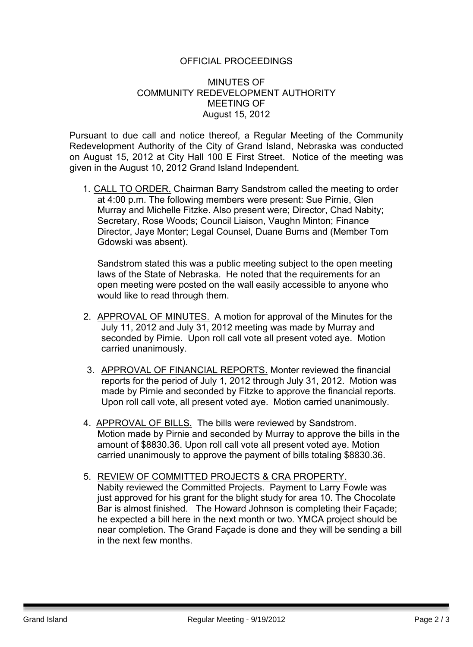### OFFICIAL PROCEEDINGS

### MINUTES OF COMMUNITY REDEVELOPMENT AUTHORITY MEETING OF August 15, 2012

Pursuant to due call and notice thereof, a Regular Meeting of the Community Redevelopment Authority of the City of Grand Island, Nebraska was conducted on August 15, 2012 at City Hall 100 E First Street. Notice of the meeting was given in the August 10, 2012 Grand Island Independent.

1. CALL TO ORDER. Chairman Barry Sandstrom called the meeting to order at 4:00 p.m. The following members were present: Sue Pirnie, Glen Murray and Michelle Fitzke. Also present were; Director, Chad Nabity; Secretary, Rose Woods; Council Liaison, Vaughn Minton; Finance Director, Jaye Monter; Legal Counsel, Duane Burns and (Member Tom Gdowski was absent).

Sandstrom stated this was a public meeting subject to the open meeting laws of the State of Nebraska. He noted that the requirements for an open meeting were posted on the wall easily accessible to anyone who would like to read through them.

- 2. APPROVAL OF MINUTES. A motion for approval of the Minutes for the July 11, 2012 and July 31, 2012 meeting was made by Murray and seconded by Pirnie. Upon roll call vote all present voted aye. Motion carried unanimously.
- 3. APPROVAL OF FINANCIAL REPORTS. Monter reviewed the financial reports for the period of July 1, 2012 through July 31, 2012. Motion was made by Pirnie and seconded by Fitzke to approve the financial reports. Upon roll call vote, all present voted aye. Motion carried unanimously.
- 4. APPROVAL OF BILLS. The bills were reviewed by Sandstrom. Motion made by Pirnie and seconded by Murray to approve the bills in the amount of \$8830.36. Upon roll call vote all present voted aye. Motion carried unanimously to approve the payment of bills totaling \$8830.36.
- 5. REVIEW OF COMMITTED PROJECTS & CRA PROPERTY. Nabity reviewed the Committed Projects. Payment to Larry Fowle was just approved for his grant for the blight study for area 10. The Chocolate Bar is almost finished. The Howard Johnson is completing their Façade; he expected a bill here in the next month or two. YMCA project should be near completion. The Grand Façade is done and they will be sending a bill in the next few months.